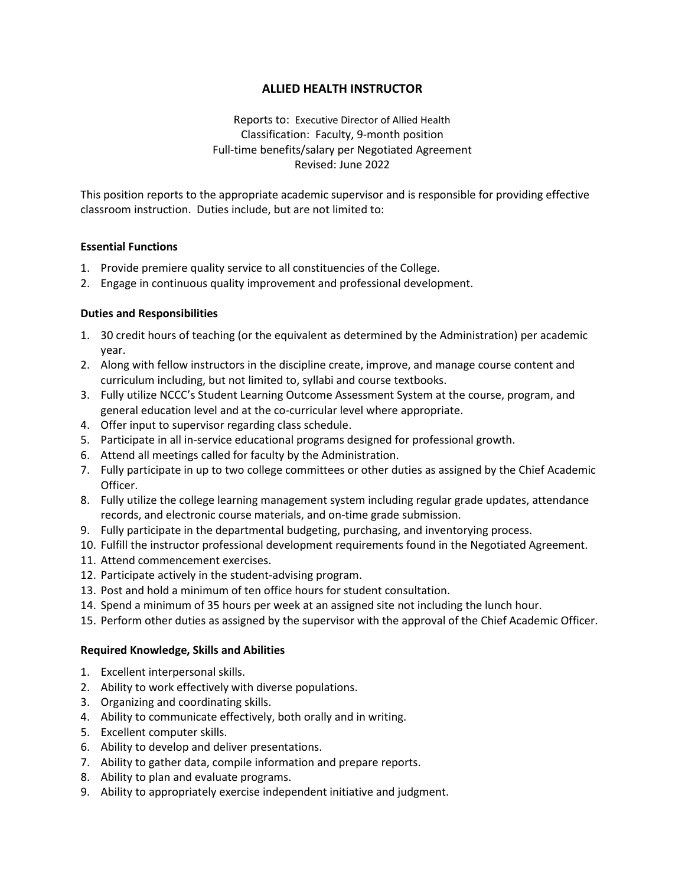# **ALLIED HEALTH INSTRUCTOR**

Reports to: Executive Director of Allied Health Classification: Faculty, 9-month position Full-time benefits/salary per Negotiated Agreement Revised: June 2022

This position reports to the appropriate academic supervisor and is responsible for providing effective classroom instruction. Duties include, but are not limited to:

### **Essential Functions**

- 1. Provide premiere quality service to all constituencies of the College.
- 2. Engage in continuous quality improvement and professional development.

# **Duties and Responsibilities**

- 1. 30 credit hours of teaching (or the equivalent as determined by the Administration) per academic year.
- 2. Along with fellow instructors in the discipline create, improve, and manage course content and curriculum including, but not limited to, syllabi and course textbooks.
- 3. Fully utilize NCCC's Student Learning Outcome Assessment System at the course, program, and general education level and at the co-curricular level where appropriate.
- 4. Offer input to supervisor regarding class schedule.
- 5. Participate in all in-service educational programs designed for professional growth.
- 6. Attend all meetings called for faculty by the Administration.
- 7. Fully participate in up to two college committees or other duties as assigned by the Chief Academic Officer.
- 8. Fully utilize the college learning management system including regular grade updates, attendance records, and electronic course materials, and on-time grade submission.
- 9. Fully participate in the departmental budgeting, purchasing, and inventorying process.
- 10. Fulfill the instructor professional development requirements found in the Negotiated Agreement.
- 11. Attend commencement exercises.
- 12. Participate actively in the student-advising program.
- 13. Post and hold a minimum of ten office hours for student consultation.
- 14. Spend a minimum of 35 hours per week at an assigned site not including the lunch hour.
- 15. Perform other duties as assigned by the supervisor with the approval of the Chief Academic Officer.

#### **Required Knowledge, Skills and Abilities**

- 1. Excellent interpersonal skills.
- 2. Ability to work effectively with diverse populations.
- 3. Organizing and coordinating skills.
- 4. Ability to communicate effectively, both orally and in writing.
- 5. Excellent computer skills.
- 6. Ability to develop and deliver presentations.
- 7. Ability to gather data, compile information and prepare reports.
- 8. Ability to plan and evaluate programs.
- 9. Ability to appropriately exercise independent initiative and judgment.